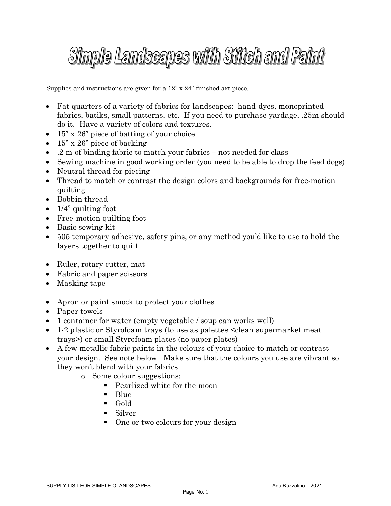## Simple Landscapes with Stitch and Paint

Supplies and instructions are given for a 12" x 24" finished art piece.

- Fat quarters of a variety of fabrics for landscapes: hand-dyes, monoprinted fabrics, batiks, small patterns, etc. If you need to purchase yardage, .25m should do it. Have a variety of colors and textures.
- 15" x 26" piece of batting of your choice
- $15$ " x  $26$ " piece of backing
- .2 m of binding fabric to match your fabrics not needed for class
- Sewing machine in good working order (you need to be able to drop the feed dogs)
- Neutral thread for piecing
- Thread to match or contrast the design colors and backgrounds for free-motion quilting
- Bobbin thread
- $\bullet$  1/4" quilting foot
- Free-motion quilting foot
- Basic sewing kit
- 505 temporary adhesive, safety pins, or any method you'd like to use to hold the layers together to quilt
- Ruler, rotary cutter, mat
- Fabric and paper scissors
- Masking tape
- Apron or paint smock to protect your clothes
- Paper towels
- 1 container for water (empty vegetable / soup can works well)
- 1-2 plastic or Styrofoam trays (to use as palettes  $\leq$  clean supermarket meat trays>) or small Styrofoam plates (no paper plates)
- A few metallic fabric paints in the colours of your choice to match or contrast your design. See note below. Make sure that the colours you use are vibrant so they won't blend with your fabrics
	- o Some colour suggestions:
		- Pearlized white for the moon
		- § Blue
		- § Gold
		- Silver
		- One or two colours for your design